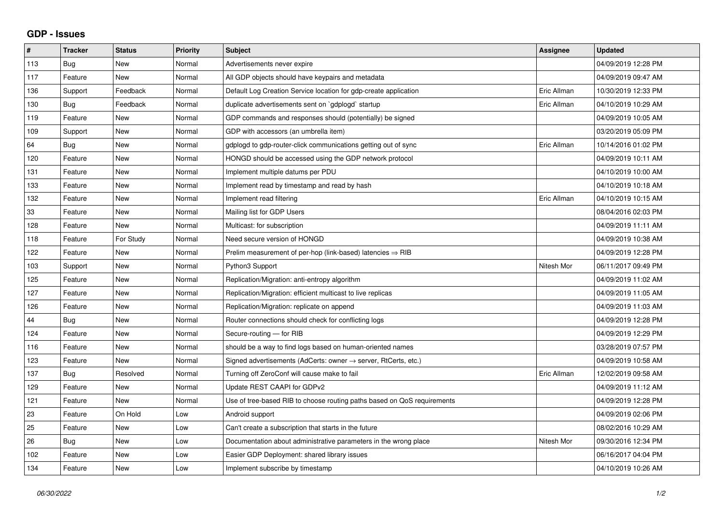## **GDP - Issues**

| #   | <b>Tracker</b> | <b>Status</b> | Priority | <b>Subject</b>                                                             | Assignee    | <b>Updated</b>      |
|-----|----------------|---------------|----------|----------------------------------------------------------------------------|-------------|---------------------|
| 113 | Bug            | <b>New</b>    | Normal   | Advertisements never expire                                                |             | 04/09/2019 12:28 PM |
| 117 | Feature        | <b>New</b>    | Normal   | All GDP objects should have keypairs and metadata                          |             | 04/09/2019 09:47 AM |
| 136 | Support        | Feedback      | Normal   | Default Log Creation Service location for gdp-create application           | Eric Allman | 10/30/2019 12:33 PM |
| 130 | Bug            | Feedback      | Normal   | duplicate advertisements sent on `gdplogd` startup                         | Eric Allman | 04/10/2019 10:29 AM |
| 119 | Feature        | <b>New</b>    | Normal   | GDP commands and responses should (potentially) be signed                  |             | 04/09/2019 10:05 AM |
| 109 | Support        | <b>New</b>    | Normal   | GDP with accessors (an umbrella item)                                      |             | 03/20/2019 05:09 PM |
| 64  | Bug            | <b>New</b>    | Normal   | gdplogd to gdp-router-click communications getting out of sync             | Eric Allman | 10/14/2016 01:02 PM |
| 120 | Feature        | <b>New</b>    | Normal   | HONGD should be accessed using the GDP network protocol                    |             | 04/09/2019 10:11 AM |
| 131 | Feature        | <b>New</b>    | Normal   | Implement multiple datums per PDU                                          |             | 04/10/2019 10:00 AM |
| 133 | Feature        | <b>New</b>    | Normal   | Implement read by timestamp and read by hash                               |             | 04/10/2019 10:18 AM |
| 132 | Feature        | <b>New</b>    | Normal   | Implement read filtering                                                   | Eric Allman | 04/10/2019 10:15 AM |
| 33  | Feature        | <b>New</b>    | Normal   | Mailing list for GDP Users                                                 |             | 08/04/2016 02:03 PM |
| 128 | Feature        | <b>New</b>    | Normal   | Multicast: for subscription                                                |             | 04/09/2019 11:11 AM |
| 118 | Feature        | For Study     | Normal   | Need secure version of HONGD                                               |             | 04/09/2019 10:38 AM |
| 122 | Feature        | <b>New</b>    | Normal   | Prelim measurement of per-hop (link-based) latencies $\Rightarrow$ RIB     |             | 04/09/2019 12:28 PM |
| 103 | Support        | <b>New</b>    | Normal   | Python3 Support                                                            | Nitesh Mor  | 06/11/2017 09:49 PM |
| 125 | Feature        | <b>New</b>    | Normal   | Replication/Migration: anti-entropy algorithm                              |             | 04/09/2019 11:02 AM |
| 127 | Feature        | New           | Normal   | Replication/Migration: efficient multicast to live replicas                |             | 04/09/2019 11:05 AM |
| 126 | Feature        | <b>New</b>    | Normal   | Replication/Migration: replicate on append                                 |             | 04/09/2019 11:03 AM |
| 44  | Bug            | <b>New</b>    | Normal   | Router connections should check for conflicting logs                       |             | 04/09/2019 12:28 PM |
| 124 | Feature        | <b>New</b>    | Normal   | Secure-routing - for RIB                                                   |             | 04/09/2019 12:29 PM |
| 116 | Feature        | <b>New</b>    | Normal   | should be a way to find logs based on human-oriented names                 |             | 03/28/2019 07:57 PM |
| 123 | Feature        | <b>New</b>    | Normal   | Signed advertisements (AdCerts: owner $\rightarrow$ server, RtCerts, etc.) |             | 04/09/2019 10:58 AM |
| 137 | Bug            | Resolved      | Normal   | Turning off ZeroConf will cause make to fail                               | Eric Allman | 12/02/2019 09:58 AM |
| 129 | Feature        | <b>New</b>    | Normal   | Update REST CAAPI for GDPv2                                                |             | 04/09/2019 11:12 AM |
| 121 | Feature        | <b>New</b>    | Normal   | Use of tree-based RIB to choose routing paths based on QoS requirements    |             | 04/09/2019 12:28 PM |
| 23  | Feature        | On Hold       | Low      | Android support                                                            |             | 04/09/2019 02:06 PM |
| 25  | Feature        | <b>New</b>    | Low      | Can't create a subscription that starts in the future                      |             | 08/02/2016 10:29 AM |
| 26  | <b>Bug</b>     | <b>New</b>    | Low      | Documentation about administrative parameters in the wrong place           | Nitesh Mor  | 09/30/2016 12:34 PM |
| 102 | Feature        | <b>New</b>    | Low      | Easier GDP Deployment: shared library issues                               |             | 06/16/2017 04:04 PM |
| 134 | Feature        | <b>New</b>    | Low      | Implement subscribe by timestamp                                           |             | 04/10/2019 10:26 AM |